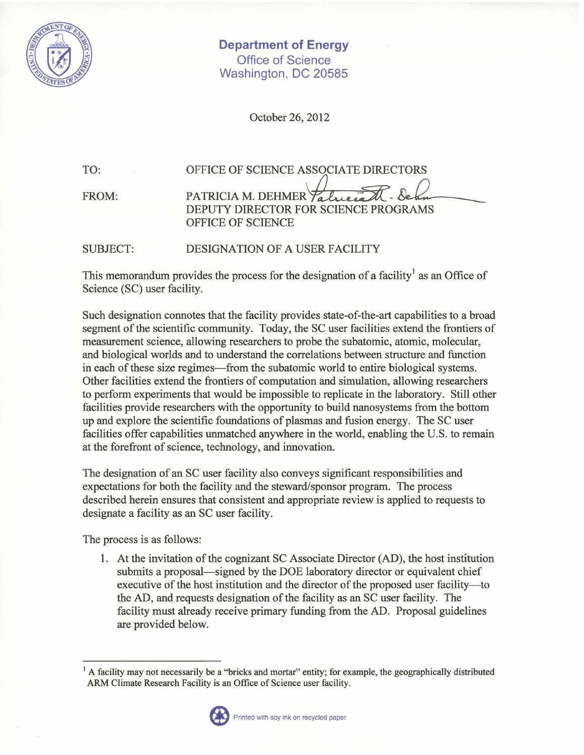

**Department of Energy.**  Office of Science Washington, DC 20585

October 26, 2012

TO:

FROM:

PATRICIA M. DEHMER Talueral DEPUTY DIRECTOR FOR SCIENCE PROGRAMS OFFICE OF SCIENCE TORS<br>Deba<br>FRAMS

OFFICE OF SCIENCE ASSOCIATE DIRECTORS

SUBJECT: DESIGNATION OF A USER FACILITY

This memorandum provides the process for the designation of a facility<sup>1</sup> as an Office of Science (SC) user facility.

Such designation connotes that the facility provides state-of-the-art capabilities to a broad segment of the scientific community. Today, the SC user facilities extend the frontiers of measurement science, allowing researchers to probe the subatomic, atomic, molecular, and biological worlds and to understand the correlations between structure and function in each of these size regimes—from the subatomic world to entire biological systems. Other facilities extend the frontiers of computation and simulation, allowing researchers to perform experiments that would be impossible to replicate in the laboratory. Still other facilities provide researchers with the opportunity to build nanosystems from the bottom up and explore the scientific foundations of plasmas and fusion energy. The SC user facilities offer capabilities unmatched anywhere in the world, enabling the U.S. to remain at the forefront of science, technology, and innovation.

The designation of an SC user facility also conveys significant responsibilities and expectations for both the facility and the steward/sponsor program. The process described herein ensures that consistent and appropriate review is applied to requests to designate a facility as an SC user facility.

The process is as follows:

1. At the invitation of the cognizant SC Associate Director (AD), the host institution submits a proposal—signed by the DOE laboratory director or equivalent chief executive of the host institution and the director of the proposed user facility—to the AD, and requests designation of the facility as an SC user facility. The facility must already receive primary funding from the AD. Proposal guidelines are provided below.

 $<sup>1</sup>$  A facility may not necessarily be a "bricks and mortar" entity; for example, the geographically distributed</sup> ARM Climate Research Facility is an Office of Science user facility.<br>Printed with soy ink on recycled paper

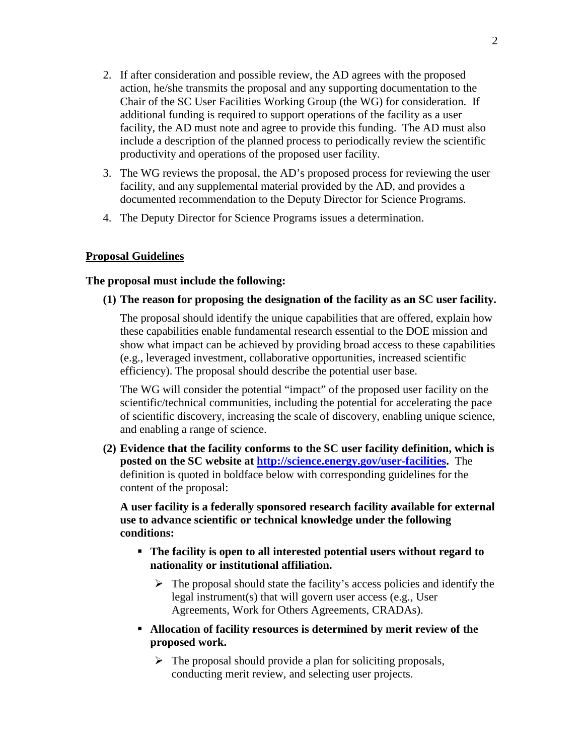- 2. If after consideration and possible review, the AD agrees with the proposed action, he/she transmits the proposal and any supporting documentation to the Chair of the SC User Facilities Working Group (the WG) for consideration. If additional funding is required to support operations of the facility as a user facility, the AD must note and agree to provide this funding. The AD must also include a description of the planned process to periodically review the scientific productivity and operations of the proposed user facility.
- 3. The WG reviews the proposal, the AD's proposed process for reviewing the user facility, and any supplemental material provided by the AD, and provides a documented recommendation to the Deputy Director for Science Programs.
- 4. The Deputy Director for Science Programs issues a determination.

## **Proposal Guidelines**

## **The proposal must include the following:**

**(1) The reason for proposing the designation of the facility as an SC user facility.** 

The proposal should identify the unique capabilities that are offered, explain how these capabilities enable fundamental research essential to the DOE mission and show what impact can be achieved by providing broad access to these capabilities (e.g., leveraged investment, collaborative opportunities, increased scientific efficiency). The proposal should describe the potential user base.

The WG will consider the potential "impact" of the proposed user facility on the scientific/technical communities, including the potential for accelerating the pace of scientific discovery, increasing the scale of discovery, enabling unique science, and enabling a range of science.

**(2) Evidence that the facility conforms to the SC user facility definition, which is posted on the SC website at [http://science.energy.gov/user-facilities.](http://science.energy.gov/user-facilities)** The definition is quoted in boldface below with corresponding guidelines for the content of the proposal:

**A user facility is a federally sponsored research facility available for external use to advance scientific or technical knowledge under the following conditions:**

- **The facility is open to all interested potential users without regard to nationality or institutional affiliation.**
	- $\triangleright$  The proposal should state the facility's access policies and identify the legal instrument(s) that will govern user access (e.g., User Agreements, Work for Others Agreements, CRADAs).
- **Allocation of facility resources is determined by merit review of the proposed work.**
	- $\triangleright$  The proposal should provide a plan for soliciting proposals, conducting merit review, and selecting user projects.